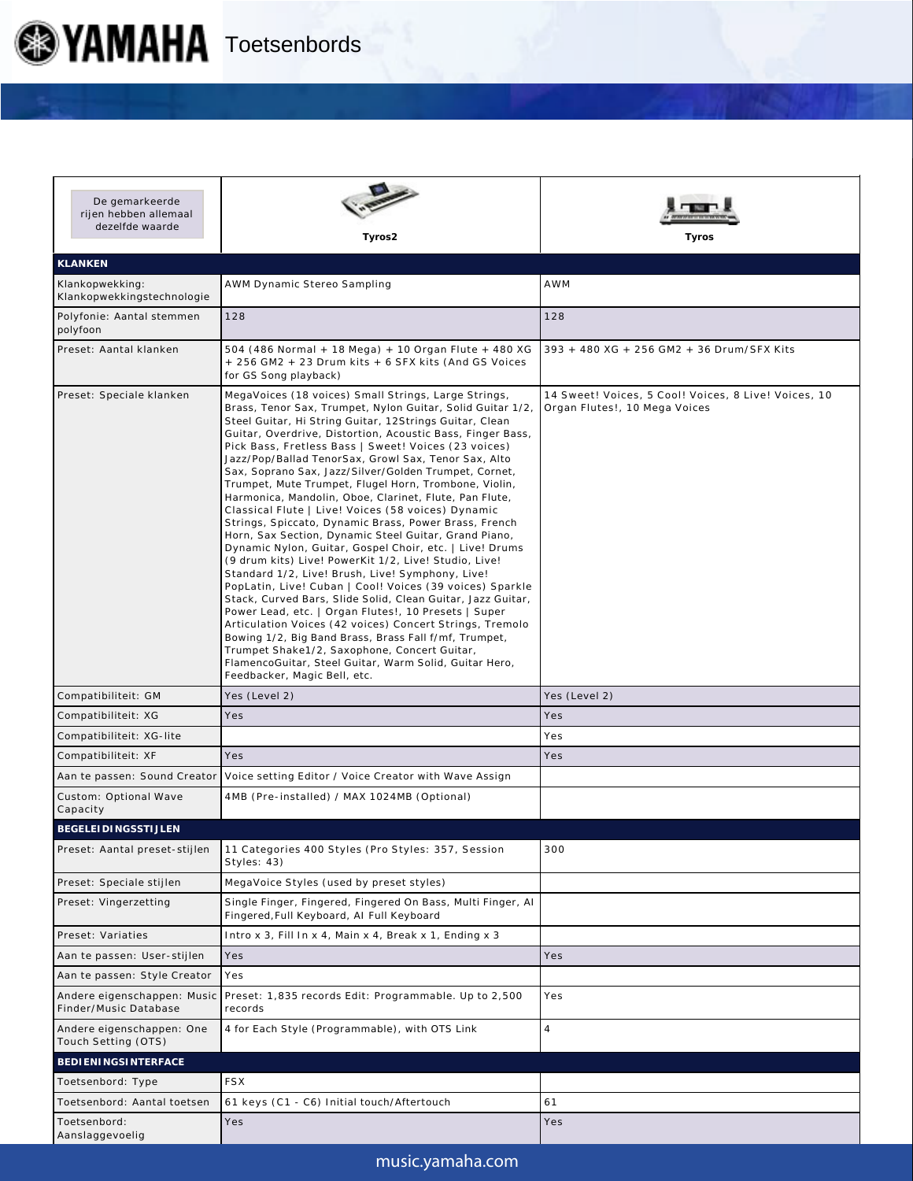

| De gemarkeerde<br>rijen hebben allemaal<br>dezelfde waarde | Tyros2                                                                                                                                                                                                                                                                                                                                                                                                                                                                                                                                                                                                                                                                                                                                                                                                                                                                                                                                                                                                                                                                                                                                                                                                                                                                                                                                    | Tyros                                                                                 |
|------------------------------------------------------------|-------------------------------------------------------------------------------------------------------------------------------------------------------------------------------------------------------------------------------------------------------------------------------------------------------------------------------------------------------------------------------------------------------------------------------------------------------------------------------------------------------------------------------------------------------------------------------------------------------------------------------------------------------------------------------------------------------------------------------------------------------------------------------------------------------------------------------------------------------------------------------------------------------------------------------------------------------------------------------------------------------------------------------------------------------------------------------------------------------------------------------------------------------------------------------------------------------------------------------------------------------------------------------------------------------------------------------------------|---------------------------------------------------------------------------------------|
| <b>KLANKEN</b>                                             |                                                                                                                                                                                                                                                                                                                                                                                                                                                                                                                                                                                                                                                                                                                                                                                                                                                                                                                                                                                                                                                                                                                                                                                                                                                                                                                                           |                                                                                       |
| Klankopwekking:<br>Klankopwekkingstechnologie              | AWM Dynamic Stereo Sampling                                                                                                                                                                                                                                                                                                                                                                                                                                                                                                                                                                                                                                                                                                                                                                                                                                                                                                                                                                                                                                                                                                                                                                                                                                                                                                               | <b>AWM</b>                                                                            |
| Polyfonie: Aantal stemmen<br>polyfoon                      | 128                                                                                                                                                                                                                                                                                                                                                                                                                                                                                                                                                                                                                                                                                                                                                                                                                                                                                                                                                                                                                                                                                                                                                                                                                                                                                                                                       | 128                                                                                   |
| Preset: Aantal klanken                                     | 504 (486 Normal + 18 Mega) + 10 Organ Flute + 480 XG<br>+ 256 GM2 + 23 Drum kits + 6 SFX kits (And GS Voices<br>for GS Song playback)                                                                                                                                                                                                                                                                                                                                                                                                                                                                                                                                                                                                                                                                                                                                                                                                                                                                                                                                                                                                                                                                                                                                                                                                     | 393 + 480 XG + 256 GM2 + 36 Drum/SFX Kits                                             |
| Preset: Speciale klanken                                   | MegaVoices (18 voices) Small Strings, Large Strings,<br>Brass, Tenor Sax, Trumpet, Nylon Guitar, Solid Guitar 1/2,<br>Steel Guitar, Hi String Guitar, 12Strings Guitar, Clean<br>Guitar, Overdrive, Distortion, Acoustic Bass, Finger Bass,<br>Pick Bass, Fretless Bass   Sweet! Voices (23 voices)<br>Jazz/Pop/Ballad TenorSax, Growl Sax, Tenor Sax, Alto<br>Sax, Soprano Sax, Jazz/Silver/Golden Trumpet, Cornet,<br>Trumpet, Mute Trumpet, Flugel Horn, Trombone, Violin,<br>Harmonica, Mandolin, Oboe, Clarinet, Flute, Pan Flute,<br>Classical Flute   Live! Voices (58 voices) Dynamic<br>Strings, Spiccato, Dynamic Brass, Power Brass, French<br>Horn, Sax Section, Dynamic Steel Guitar, Grand Piano,<br>Dynamic Nylon, Guitar, Gospel Choir, etc.   Live! Drums<br>(9 drum kits) Live! PowerKit 1/2, Live! Studio, Live!<br>Standard 1/2, Live! Brush, Live! Symphony, Live!<br>PopLatin, Live! Cuban   Cool! Voices (39 voices) Sparkle<br>Stack, Curved Bars, Slide Solid, Clean Guitar, Jazz Guitar,<br>Power Lead, etc.   Organ Flutes!, 10 Presets   Super<br>Articulation Voices (42 voices) Concert Strings, Tremolo<br>Bowing 1/2, Big Band Brass, Brass Fall f/mf, Trumpet,<br>Trumpet Shake1/2, Saxophone, Concert Guitar,<br>FlamencoGuitar, Steel Guitar, Warm Solid, Guitar Hero,<br>Feedbacker, Magic Bell, etc. | 14 Sweet! Voices, 5 Cool! Voices, 8 Live! Voices, 10<br>Organ Flutes!, 10 Mega Voices |
| Compatibiliteit: GM                                        | Yes (Level 2)                                                                                                                                                                                                                                                                                                                                                                                                                                                                                                                                                                                                                                                                                                                                                                                                                                                                                                                                                                                                                                                                                                                                                                                                                                                                                                                             | Yes (Level 2)                                                                         |
| Compatibiliteit: XG                                        | Yes                                                                                                                                                                                                                                                                                                                                                                                                                                                                                                                                                                                                                                                                                                                                                                                                                                                                                                                                                                                                                                                                                                                                                                                                                                                                                                                                       | Yes                                                                                   |
| Compatibiliteit: XG-lite                                   |                                                                                                                                                                                                                                                                                                                                                                                                                                                                                                                                                                                                                                                                                                                                                                                                                                                                                                                                                                                                                                                                                                                                                                                                                                                                                                                                           | Yes                                                                                   |
| Compatibiliteit: XF                                        | Yes                                                                                                                                                                                                                                                                                                                                                                                                                                                                                                                                                                                                                                                                                                                                                                                                                                                                                                                                                                                                                                                                                                                                                                                                                                                                                                                                       | Yes                                                                                   |
|                                                            | Aan te passen: Sound Creator   Voice setting Editor / Voice Creator with Wave Assign                                                                                                                                                                                                                                                                                                                                                                                                                                                                                                                                                                                                                                                                                                                                                                                                                                                                                                                                                                                                                                                                                                                                                                                                                                                      |                                                                                       |
| Custom: Optional Wave<br>Capacity                          | 4MB (Pre-installed) / MAX 1024MB (Optional)                                                                                                                                                                                                                                                                                                                                                                                                                                                                                                                                                                                                                                                                                                                                                                                                                                                                                                                                                                                                                                                                                                                                                                                                                                                                                               |                                                                                       |
| BEGELEI DI NGSSTI JLEN                                     |                                                                                                                                                                                                                                                                                                                                                                                                                                                                                                                                                                                                                                                                                                                                                                                                                                                                                                                                                                                                                                                                                                                                                                                                                                                                                                                                           |                                                                                       |
| Preset: Aantal preset-stijlen                              | 11 Categories 400 Styles (Pro Styles: 357, Session<br>Styles: 43)                                                                                                                                                                                                                                                                                                                                                                                                                                                                                                                                                                                                                                                                                                                                                                                                                                                                                                                                                                                                                                                                                                                                                                                                                                                                         | 300                                                                                   |
| Preset: Speciale stijlen                                   | MegaVoice Styles (used by preset styles)                                                                                                                                                                                                                                                                                                                                                                                                                                                                                                                                                                                                                                                                                                                                                                                                                                                                                                                                                                                                                                                                                                                                                                                                                                                                                                  |                                                                                       |
| Preset: Vingerzetting                                      | Single Finger, Fingered, Fingered On Bass, Multi Finger, Al<br>Fingered, Full Keyboard, AI Full Keyboard                                                                                                                                                                                                                                                                                                                                                                                                                                                                                                                                                                                                                                                                                                                                                                                                                                                                                                                                                                                                                                                                                                                                                                                                                                  |                                                                                       |
| Preset: Variaties                                          | Intro x 3, Fill In x 4, Main x 4, Break x 1, Ending x 3                                                                                                                                                                                                                                                                                                                                                                                                                                                                                                                                                                                                                                                                                                                                                                                                                                                                                                                                                                                                                                                                                                                                                                                                                                                                                   |                                                                                       |
| Aan te passen: User-stijlen                                | Yes                                                                                                                                                                                                                                                                                                                                                                                                                                                                                                                                                                                                                                                                                                                                                                                                                                                                                                                                                                                                                                                                                                                                                                                                                                                                                                                                       | Yes                                                                                   |
| Aan te passen: Style Creator                               | Yes                                                                                                                                                                                                                                                                                                                                                                                                                                                                                                                                                                                                                                                                                                                                                                                                                                                                                                                                                                                                                                                                                                                                                                                                                                                                                                                                       |                                                                                       |
| Andere eigenschappen: Music<br>Finder/Music Database       | Preset: 1,835 records Edit: Programmable. Up to 2,500<br>records                                                                                                                                                                                                                                                                                                                                                                                                                                                                                                                                                                                                                                                                                                                                                                                                                                                                                                                                                                                                                                                                                                                                                                                                                                                                          | Yes                                                                                   |
| Andere eigenschappen: One<br>Touch Setting (OTS)           | 4 for Each Style (Programmable), with OTS Link                                                                                                                                                                                                                                                                                                                                                                                                                                                                                                                                                                                                                                                                                                                                                                                                                                                                                                                                                                                                                                                                                                                                                                                                                                                                                            | $\overline{4}$                                                                        |
| BEDI ENINGSINTERFACE                                       |                                                                                                                                                                                                                                                                                                                                                                                                                                                                                                                                                                                                                                                                                                                                                                                                                                                                                                                                                                                                                                                                                                                                                                                                                                                                                                                                           |                                                                                       |
| Toetsenbord: Type                                          | <b>FSX</b>                                                                                                                                                                                                                                                                                                                                                                                                                                                                                                                                                                                                                                                                                                                                                                                                                                                                                                                                                                                                                                                                                                                                                                                                                                                                                                                                |                                                                                       |
| Toetsenbord: Aantal toetsen                                | 61 keys (C1 - C6) Initial touch/Aftertouch                                                                                                                                                                                                                                                                                                                                                                                                                                                                                                                                                                                                                                                                                                                                                                                                                                                                                                                                                                                                                                                                                                                                                                                                                                                                                                | 61                                                                                    |
| Toetsenbord:<br>Aanslaggevoelig                            | Yes                                                                                                                                                                                                                                                                                                                                                                                                                                                                                                                                                                                                                                                                                                                                                                                                                                                                                                                                                                                                                                                                                                                                                                                                                                                                                                                                       | Yes                                                                                   |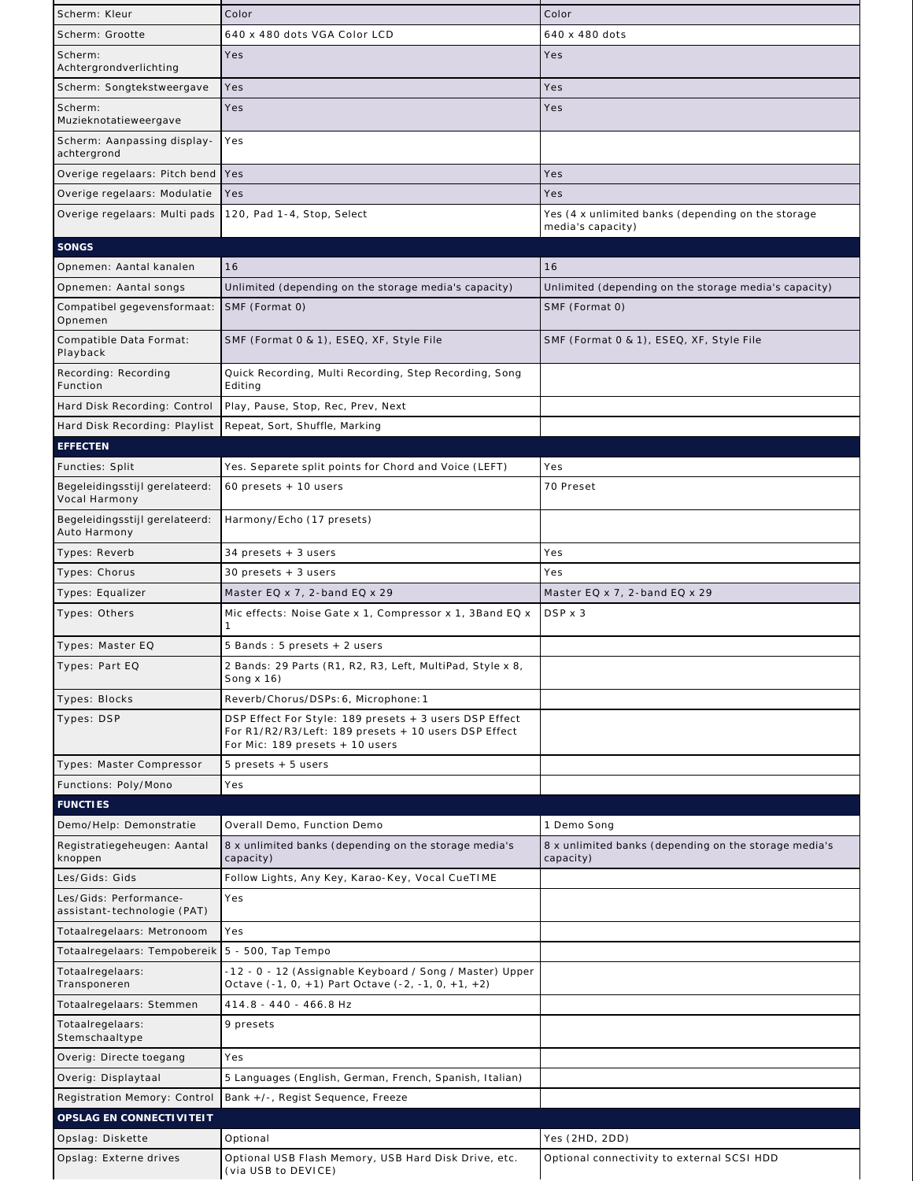| Scherm: Kleur                                         | Color                                                                                                                                             | Color                                                                   |
|-------------------------------------------------------|---------------------------------------------------------------------------------------------------------------------------------------------------|-------------------------------------------------------------------------|
| Scherm: Grootte                                       | 640 x 480 dots VGA Color LCD                                                                                                                      | 640 x 480 dots                                                          |
| Scherm:<br>Achtergrondverlichting                     | Yes                                                                                                                                               | Yes                                                                     |
| Scherm: Songtekstweergave                             | Yes                                                                                                                                               | Yes                                                                     |
| Scherm:                                               | Yes                                                                                                                                               | Yes                                                                     |
| Muzieknotatieweergave<br>Scherm: Aanpassing display-  | Yes                                                                                                                                               |                                                                         |
| achtergrond                                           |                                                                                                                                                   |                                                                         |
| Overige regelaars: Pitch bend                         | Yes                                                                                                                                               | Yes                                                                     |
| Overige regelaars: Modulatie                          | Yes                                                                                                                                               | Yes                                                                     |
| Overige regelaars: Multi pads                         | 120, Pad 1-4, Stop, Select                                                                                                                        | Yes (4 x unlimited banks (depending on the storage<br>media's capacity) |
| SONGS                                                 |                                                                                                                                                   |                                                                         |
| Opnemen: Aantal kanalen                               | 16                                                                                                                                                | 16                                                                      |
| Opnemen: Aantal songs                                 | Unlimited (depending on the storage media's capacity)                                                                                             | Unlimited (depending on the storage media's capacity)                   |
| Compatibel gegevensformaat:<br>Opnemen                | SMF (Format 0)                                                                                                                                    | SMF (Format 0)                                                          |
| Compatible Data Format:<br>Playback                   | SMF (Format 0 & 1), ESEQ, XF, Style File                                                                                                          | SMF (Format 0 & 1), ESEQ, XF, Style File                                |
| Recording: Recording<br>Function                      | Quick Recording, Multi Recording, Step Recording, Song<br>Editing                                                                                 |                                                                         |
| Hard Disk Recording: Control                          | Play, Pause, Stop, Rec, Prev, Next                                                                                                                |                                                                         |
| Hard Disk Recording: Playlist                         | Repeat, Sort, Shuffle, Marking                                                                                                                    |                                                                         |
| <b>EFFECTEN</b>                                       |                                                                                                                                                   |                                                                         |
| Functies: Split                                       | Yes. Separete split points for Chord and Voice (LEFT)                                                                                             | Yes                                                                     |
| Begeleidingsstijl gerelateerd:<br>Vocal Harmony       | $60$ presets $+10$ users                                                                                                                          | 70 Preset                                                               |
| Begeleidingsstijl gerelateerd:<br>Auto Harmony        | Harmony/Echo (17 presets)                                                                                                                         |                                                                         |
| Types: Reverb                                         | 34 presets + 3 users                                                                                                                              | Yes                                                                     |
| Types: Chorus                                         | $30$ presets $+3$ users                                                                                                                           | Yes                                                                     |
| Types: Equalizer                                      | Master EQ x 7, 2-band EQ x 29                                                                                                                     | Master EQ $\times$ 7, 2-band EQ $\times$ 29                             |
| Types: Others                                         | Mic effects: Noise Gate x 1, Compressor x 1, 3Band EQ x                                                                                           | DSP x 3                                                                 |
| Types: Master EQ                                      | 5 Bands: 5 presets + 2 users                                                                                                                      |                                                                         |
| Types: Part EQ                                        | 2 Bands: 29 Parts (R1, R2, R3, Left, MultiPad, Style x 8,<br>Song $x 16$ )                                                                        |                                                                         |
| Types: Blocks                                         | Reverb/Chorus/DSPs: 6, Microphone: 1                                                                                                              |                                                                         |
| Types: DSP                                            | DSP Effect For Style: 189 presets + 3 users DSP Effect<br>For R1/R2/R3/Left: 189 presets + 10 users DSP Effect<br>For Mic: 189 presets + 10 users |                                                                         |
| Types: Master Compressor                              | 5 presets + 5 users                                                                                                                               |                                                                         |
| Functions: Poly/Mono                                  | Yes                                                                                                                                               |                                                                         |
| <b>FUNCTIES</b>                                       |                                                                                                                                                   |                                                                         |
| Demo/Help: Demonstratie                               | Overall Demo, Function Demo                                                                                                                       | 1 Demo Song                                                             |
| Registratiegeheugen: Aantal<br>knoppen                | 8 x unlimited banks (depending on the storage media's<br>capacity)                                                                                | 8 x unlimited banks (depending on the storage media's<br>capacity)      |
| Les/Gids: Gids                                        | Follow Lights, Any Key, Karao-Key, Vocal CueTIME                                                                                                  |                                                                         |
| Les/Gids: Performance-<br>assistant-technologie (PAT) | Yes                                                                                                                                               |                                                                         |
| Totaalregelaars: Metronoom                            | Yes                                                                                                                                               |                                                                         |
| Totaalregelaars: Tempobereik                          | 5 - 500, Tap Tempo                                                                                                                                |                                                                         |
| Totaalregelaars:<br>Transponeren                      | -12 - 0 - 12 (Assignable Keyboard / Song / Master) Upper<br>Octave (-1, 0, +1) Part Octave (-2, -1, 0, +1, +2)                                    |                                                                         |
| Totaalregelaars: Stemmen                              | 414.8 - 440 - 466.8 Hz                                                                                                                            |                                                                         |
| Totaalregelaars:<br>Stemschaaltype                    | 9 presets                                                                                                                                         |                                                                         |
| Overig: Directe toegang                               | Yes                                                                                                                                               |                                                                         |
| Overig: Displaytaal                                   | 5 Languages (English, German, French, Spanish, Italian)                                                                                           |                                                                         |
| Registration Memory: Control                          | Bank +/-, Regist Sequence, Freeze                                                                                                                 |                                                                         |
| OPSLAG EN CONNECTI VI TEI T                           |                                                                                                                                                   |                                                                         |
| Opslag: Diskette                                      | Optional                                                                                                                                          | Yes (2HD, 2DD)                                                          |
| Opslag: Externe drives                                | Optional USB Flash Memory, USB Hard Disk Drive, etc.                                                                                              | Optional connectivity to external SCSI HDD                              |
|                                                       | (via USB to DEVICE)                                                                                                                               |                                                                         |